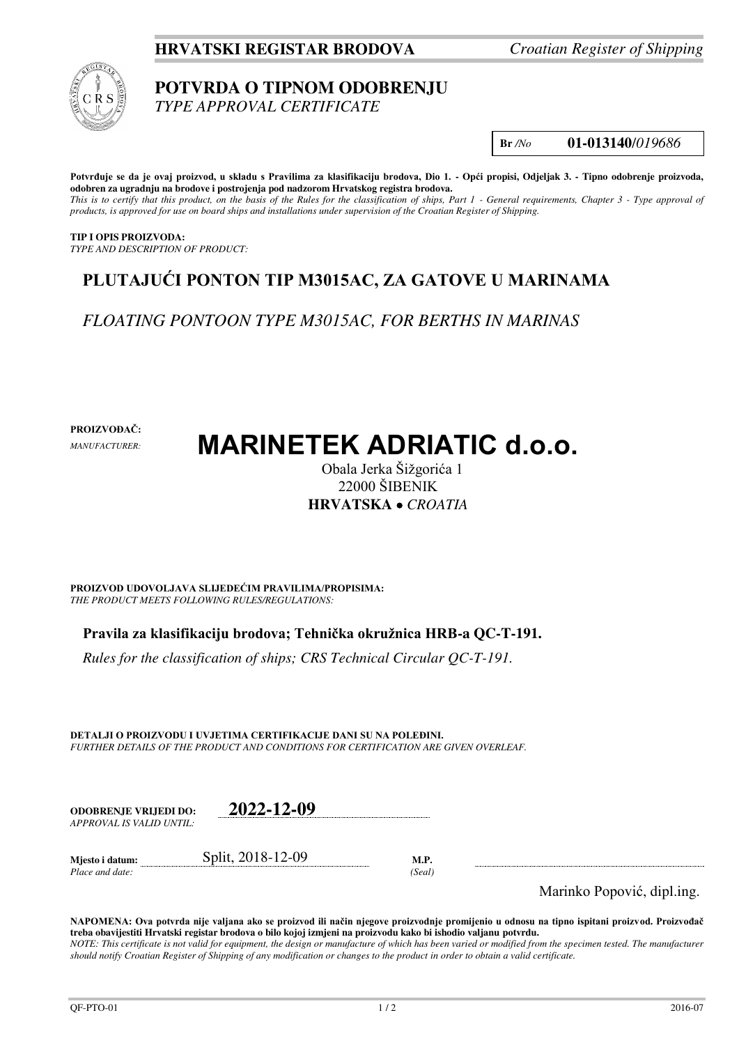### **HRVATSKI REGISTAR BRODOVA** *Croatian Register of Shipping*



# **POTVRDA O TIPNOM ODOBRENJU**

*TYPE APPROVAL CERTIFICATE* 

**Br** */No* **01-013140**/*019686*

**Potvrđuje se da je ovaj proizvod, u skladu s Pravilima za klasifikaciju brodova, Dio 1. - Opći propisi, Odjeljak 3. - Tipno odobrenje proizvoda, odobren za ugradnju na brodove i postrojenja pod nadzorom Hrvatskog registra brodova.**  *This is to certify that this product, on the basis of the Rules for the classification of ships, Part 1 - General requirements, Chapter 3 - Type approval of products, is approved for use on board ships and installations under supervision of the Croatian Register of Shipping.* 

**TIP I OPIS PROIZVODA:** *TYPE AND DESCRIPTION OF PRODUCT:* 

## **PLUTAJUĆI PONTON TIP M3015AC, ZA GATOVE U MARINAMA**

*FLOATING PONTOON TYPE M3015AC, FOR BERTHS IN MARINAS* 

**PROIZVOĐAČ:**

*MANUFACTURER:*

# **MARINETEK ADRIATIC d.o.o.**

Obala Jerka Šižgorića 1 22000 ŠIBENIK **HRVATSKA**  *CROATIA*

**PROIZVOD UDOVOLJAVA SLIJEDEĆIM PRAVILIMA/PROPISIMA:** *THE PRODUCT MEETS FOLLOWING RULES/REGULATIONS:* 

**Pravila za klasifikaciju brodova; Tehnička okružnica HRB-a QC-T-191.** 

*Rules for the classification of ships; CRS Technical Circular QC-T-191.*

**DETALJI O PROIZVODU I UVJETIMA CERTIFIKACIJE DANI SU NA POLEĐINI.** *FURTHER DETAILS OF THE PRODUCT AND CONDITIONS FOR CERTIFICATION ARE GIVEN OVERLEAF.* 

| ODOBREN.IE VRLIEDI DO:   | 2022-12-09        |      |
|--------------------------|-------------------|------|
| APPROVAL IS VALID UNTIL: |                   |      |
| Mjesto i datum:          | Split, 2018-12-09 | M.P. |

*Place and date: (Seal)* 

Marinko Popović, dipl.ing.

**NAPOMENA: Ova potvrda nije valjana ako se proizvod ili način njegove proizvodnje promijenio u odnosu na tipno ispitani proizvod. Proizvođač treba obavijestiti Hrvatski registar brodova o bilo kojoj izmjeni na proizvodu kako bi ishodio valjanu potvrdu.**  *NOTE: This certificate is not valid for equipment, the design or manufacture of which has been varied or modified from the specimen tested. The manufacturer should notify Croatian Register of Shipping of any modification or changes to the product in order to obtain a valid certificate.*